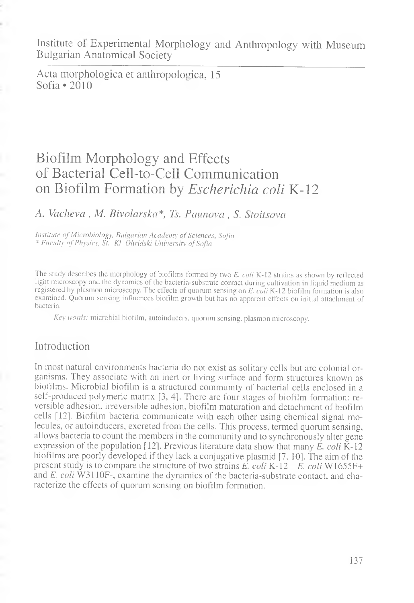Institute of Experimental Morphology and Anthropology with Museum Bulgarian Anatomical Society

Acta morphologica et anthropologica, 15  $Softa \cdot 2010$ 

# Biofilm Morphology and Effects of Bacterial Cell-to-Cell Communication on Biofilm Formation by *Escherichia coli* K-12

#### *A. Vacheva* , *M. Bivolarska\*, Ts. Pciunova , S. Stoitsova*

*Institute of Microbiology, Bulgarian Academy of Sciences, Sofia* \* *Faculty of Physics, St. Kl. Ohridski University of Sofia*

The study describes the morphology of biofilms formed by two *E. coli* K-12 strains as shown by reflected light microscopy and the dynamics of the bacteria-substrate contact during cultivation in liquid medium as registered by plasmon microscopy. The effects of quorum sensing on *E. coli* K-12 biofilm formation is also examined. Quorum sensing influences biofilm growth but has no apparent effects on initial attachment of bacteria.

*Key words:* microbial biofilm, autoinducers, quorum sensing, plasmon microscopy.

### Introduction

In most natural environments bacteria do not exist as solitary cells but are colonial organisms. They associate with an inert or living surface and form structures known as biofilms. Microbial biofilm is a structured community of bacterial cells enclosed in a self-produced polymeric matrix [3, 4]. There are four stages of biofilm formation: reversible adhesion, irreversible adhesion, biofilm maturation and detachment of biofilm cells [12]. Biofilm bacteria communicate with each other using chemical signal molecules, or autoinducers, excreted from the cells. This process, termed quorum sensing, allows bacteria to count the members in the community and to synchronously alter gene expression of the population [12]. Previous literature data show that many *E. coli* K-12 biofilms are poorly developed if they lack a conjugative plasmid [7. 10]. The aim of the present study is to compare the structure of two strains  $\vec{E}$ , coli K-12 –  $\vec{E}$ , coli W1655F+ and *E. coli* W3110F-, examine the dynamics of the bacteria-substrate contact, and characterize the effects of quorum sensing on biofilm formation.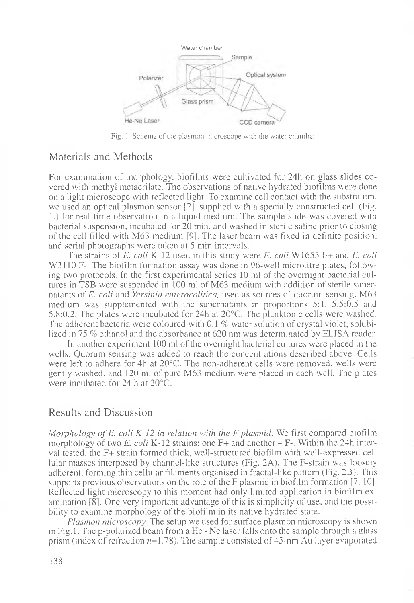

Fig. 1. Scheme of the plasmon microscope with the water chamber

# Materials and Methods

For examination of morphology, biofilms were cultivated for 24h on glass slides covered with methyl metacrilate. The observations of native hydrated biofilms were done on a light microscope with reflected light. To examine cell contact with the substratum, we used an optical plasmon sensor [2], supplied with a specially constructed cell (Fig. 1.) for real-time observation in a liquid medium. The sample slide was covered with bacterial suspension, incubated for 20 min. and washed in sterile saline prior to closing of the cell filled with M63 medium [9]. The laser beam was fixed in definite position, and serial photographs were taken at 5 min intervals.

The strains of *E. coli* K-12 used in this study were *E. coli* W1655 F+ and *E. coli* W3110 F-. The biofilm formation assay was done in 96-well microtitre plates, following two protocols. In the first experimental series 10 ml of the overnight bacterial cultures in TSB were suspended in 100 ml of M63 medium with addition of sterile supernatants of *E. coli* and *Yersinia enterocolitica,* used as sources of quorum sensing. M63 medium was supplemented with the supernatants in proportions 5:1, 5.5:0.5 and 5.8:0.2. The plates were incubated for 24h at 20°C. The planktonic cells were washed. The adherent bacteria were coloured with 0.1 *%* water solution of crystal violet, solubilized in 75 *%* ethanol and the absorbance at 620 nm was determinated by ELISA reader.

In another experiment 100 ml of the overnight bacterial cultures were placed in the wells. Quorum sensing was added to reach the concentrations described above. Cells were left to adhere for 4h at 20°C. The non-adherent cells were removed, wells were gently washed, and 120 ml of pure M63 medium were placed in each well. The plates were incubated for 24 h at 20°C.

# Results and Discussion

*Morphology of E. coli K-12 in relation with the F plasmid.* We first compared biofilm morphology of two *E. coli* K-12 strains: one F+ and another - F-. Within the 24h interval tested, the F+ strain formed thick, well-structured biofilm with well-expressed cellular masses interposed by channel-like structures (Fig. 2A). The F-strain was loosely adherent, forming thin cellular filaments organised in fractal-like pattern (Fig. 2B). This supports previous observations on the role of the F plasmid in biofilm formation [7, 10]. Reflected light microscopy to this moment had only limited application in biofilm examination [8]. One very important advantage of this is simplicity of use. and the possibility to examine morphology of the biofilm in its native hydrated state.

*Plasmon microscopy.* The setup we used for surface plasmon microscopy is shown in Fig. 1. The p-polarized beam from a  $He - Ne$  laser falls onto the sample through a glass prism (index of refraction  $n=1.78$ ). The sample consisted of 45-nm Au layer evaporated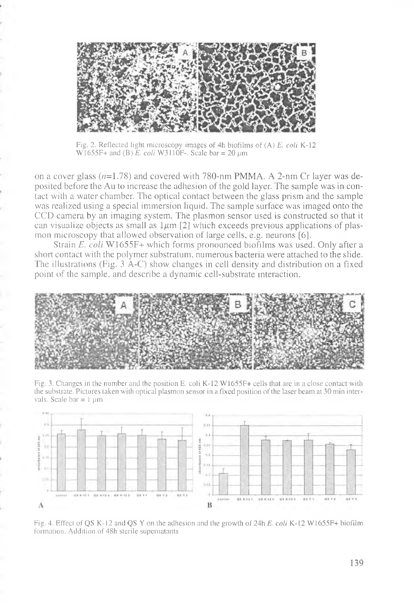

Fig. 2. Reflected light microscopy images of 4h biofilms of (A) *E. coli* K-12  $W1655F+$  and (B)  $E.$  *coli* W3110F-. Scale bar = 20 um

on a cover glass  $(n=1.78)$  and covered with 780-nm PMMA. A 2-nm Cr layer was deposited before the Au to increase the adhesion of the gold layer. The sample was in contact with a water chamber. The optical contact between the glass prism and the sample was realized using a special immersion liquid. The sample surface was imaged onto the CCD camera by an imaging system. The plasmon sensor used is constructed so that it can visualize objects as small as  $1\mu$ m [2] which exceeds previous applications of plasmon microscopy that allowed observation of large cells, e.g. neurons [6].

Strain *E. coli* W1655F+ which forms pronounced biofilms was used. Only after a short contact with the polymer substratum, numerous bacteria were attached to the slide. The illustrations (Fig. 3 A-C) show changes in cell density and distribution on a fixed point of the sample, and describe a dynamic cell-substrate interaction.



Fig. 3. Changes in the number and the position E. coli K-12 W1655F+ cells that are in a close Contact with the substrate. Pictures taken with optical plasmon sensor in a fixed position of the laser beam at 30 min intervals. Scale bar  $= 1 \mu m$ 



Fig. 4. Effect of QS K-12 and QS Y on the adhesion and the growth of 24h *E. coli* K-12 W1655F+ biofilm formation. Addition of 48h sterile supernatants